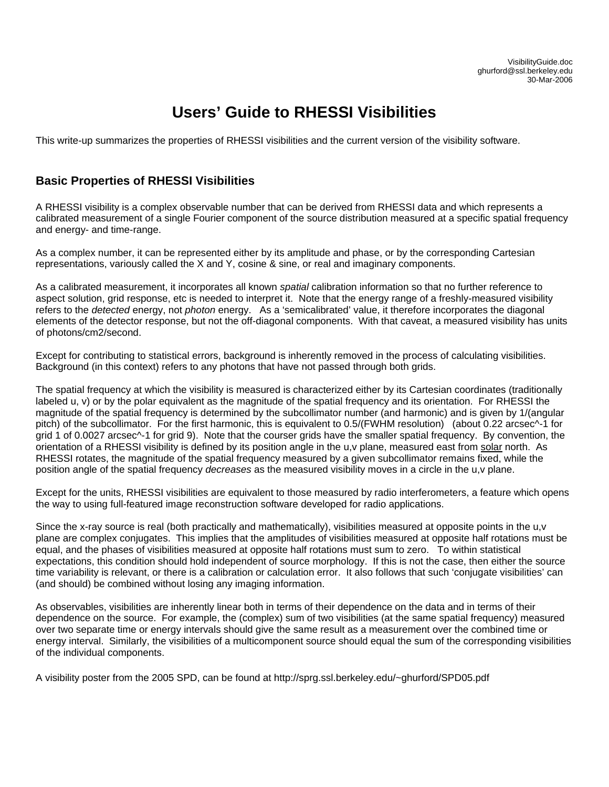# **Users' Guide to RHESSI Visibilities**

This write-up summarizes the properties of RHESSI visibilities and the current version of the visibility software.

### **Basic Properties of RHESSI Visibilities**

A RHESSI visibility is a complex observable number that can be derived from RHESSI data and which represents a calibrated measurement of a single Fourier component of the source distribution measured at a specific spatial frequency and energy- and time-range.

As a complex number, it can be represented either by its amplitude and phase, or by the corresponding Cartesian representations, variously called the X and Y, cosine & sine, or real and imaginary components.

As a calibrated measurement, it incorporates all known *spatial* calibration information so that no further reference to aspect solution, grid response, etc is needed to interpret it. Note that the energy range of a freshly-measured visibility refers to the *detected* energy, not *photon* energy. As a 'semicalibrated' value, it therefore incorporates the diagonal elements of the detector response, but not the off-diagonal components. With that caveat, a measured visibility has units of photons/cm2/second.

Except for contributing to statistical errors, background is inherently removed in the process of calculating visibilities. Background (in this context) refers to any photons that have not passed through both grids.

The spatial frequency at which the visibility is measured is characterized either by its Cartesian coordinates (traditionally labeled u, v) or by the polar equivalent as the magnitude of the spatial frequency and its orientation. For RHESSI the magnitude of the spatial frequency is determined by the subcollimator number (and harmonic) and is given by 1/(angular pitch) of the subcollimator. For the first harmonic, this is equivalent to 0.5/(FWHM resolution) (about 0.22 arcsec^-1 for grid 1 of 0.0027 arcsec^-1 for grid 9). Note that the courser grids have the smaller spatial frequency. By convention, the orientation of a RHESSI visibility is defined by its position angle in the u,v plane, measured east from solar north. As RHESSI rotates, the magnitude of the spatial frequency measured by a given subcollimator remains fixed, while the position angle of the spatial frequency *decreases* as the measured visibility moves in a circle in the u,v plane.

Except for the units, RHESSI visibilities are equivalent to those measured by radio interferometers, a feature which opens the way to using full-featured image reconstruction software developed for radio applications.

Since the x-ray source is real (both practically and mathematically), visibilities measured at opposite points in the u,v plane are complex conjugates. This implies that the amplitudes of visibilities measured at opposite half rotations must be equal, and the phases of visibilities measured at opposite half rotations must sum to zero. To within statistical expectations, this condition should hold independent of source morphology. If this is not the case, then either the source time variability is relevant, or there is a calibration or calculation error. It also follows that such 'conjugate visibilities' can (and should) be combined without losing any imaging information.

As observables, visibilities are inherently linear both in terms of their dependence on the data and in terms of their dependence on the source. For example, the (complex) sum of two visibilities (at the same spatial frequency) measured over two separate time or energy intervals should give the same result as a measurement over the combined time or energy interval. Similarly, the visibilities of a multicomponent source should equal the sum of the corresponding visibilities of the individual components.

A visibility poster from the 2005 SPD, can be found at http://sprg.ssl.berkeley.edu/~ghurford/SPD05.pdf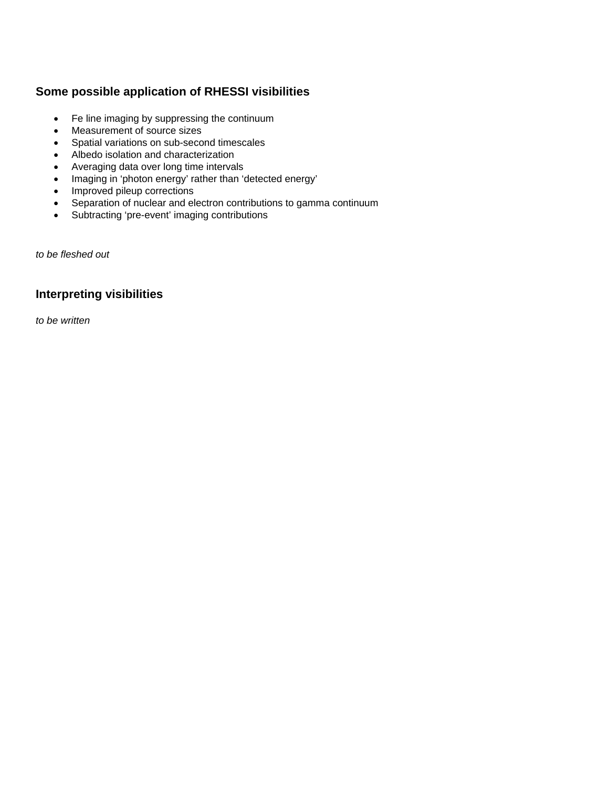# **Some possible application of RHESSI visibilities**

- Fe line imaging by suppressing the continuum
- Measurement of source sizes
- Spatial variations on sub-second timescales
- Albedo isolation and characterization
- Averaging data over long time intervals
- Imaging in 'photon energy' rather than 'detected energy'
- Improved pileup corrections
- Separation of nuclear and electron contributions to gamma continuum
- Subtracting 'pre-event' imaging contributions

*to be fleshed out* 

# **Interpreting visibilities**

*to be written*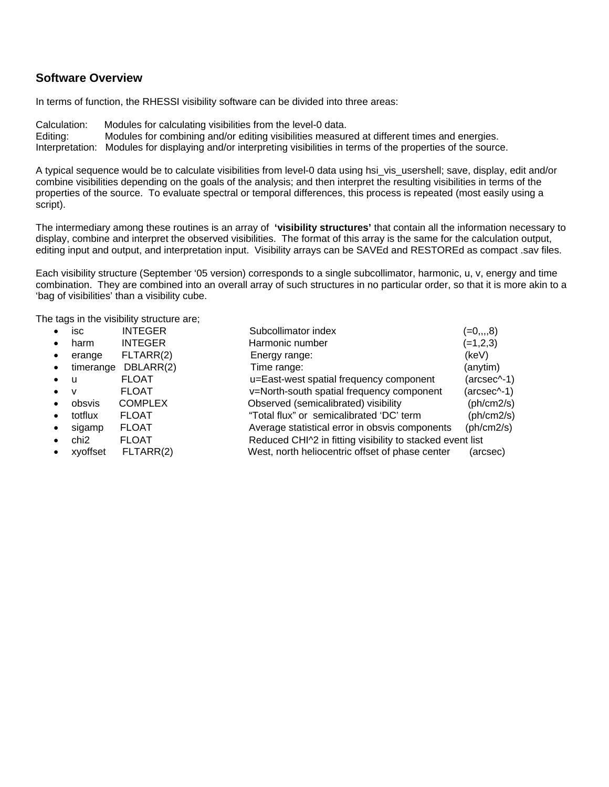### **Software Overview**

In terms of function, the RHESSI visibility software can be divided into three areas:

Calculation: Modules for calculating visibilities from the level-0 data.

Editing: Modules for combining and/or editing visibilities measured at different times and energies.

Interpretation: Modules for displaying and/or interpreting visibilities in terms of the properties of the source.

A typical sequence would be to calculate visibilities from level-0 data using hsi\_vis\_usershell; save, display, edit and/or combine visibilities depending on the goals of the analysis; and then interpret the resulting visibilities in terms of the properties of the source. To evaluate spectral or temporal differences, this process is repeated (most easily using a script).

The intermediary among these routines is an array of **'visibility structures'** that contain all the information necessary to display, combine and interpret the observed visibilities. The format of this array is the same for the calculation output, editing input and output, and interpretation input. Visibility arrays can be SAVEd and RESTOREd as compact .sav files.

Each visibility structure (September '05 version) corresponds to a single subcollimator, harmonic, u, v, energy and time combination. They are combined into an overall array of such structures in no particular order, so that it is more akin to a 'bag of visibilities' than a visibility cube.

The tags in the visibility structure are;

|           | isc       | <b>INTEGER</b> | Subcollimator index                                       | $(=0, 0, 0)$ |
|-----------|-----------|----------------|-----------------------------------------------------------|--------------|
|           | harm      | <b>INTEGER</b> | Harmonic number                                           | $(=1,2,3)$   |
|           | erange    | FLTARR(2)      | Energy range:                                             | (keV)        |
|           | timerange | DBLARR(2)      | Time range:                                               | (anytim)     |
| $\bullet$ | <b>u</b>  | <b>FLOAT</b>   | u=East-west spatial frequency component                   | (arcsec^-1)  |
| $\bullet$ | v         | <b>FLOAT</b>   | v=North-south spatial frequency component                 | (arcsec^-1)  |
|           | obsvis    | <b>COMPLEX</b> | Observed (semicalibrated) visibility                      | (ph/cm2/s)   |
|           | totflux   | <b>FLOAT</b>   | "Total flux" or semicalibrated 'DC' term                  | (ph/cm2/s)   |
|           | sigamp    | <b>FLOAT</b>   | Average statistical error in obsvis components            | (ph/cm2/s)   |
|           | chi2      | <b>FLOAT</b>   | Reduced CHI^2 in fitting visibility to stacked event list |              |
|           | xyoffset  | FLTARR(2)      | West, north heliocentric offset of phase center           | (arcsec)     |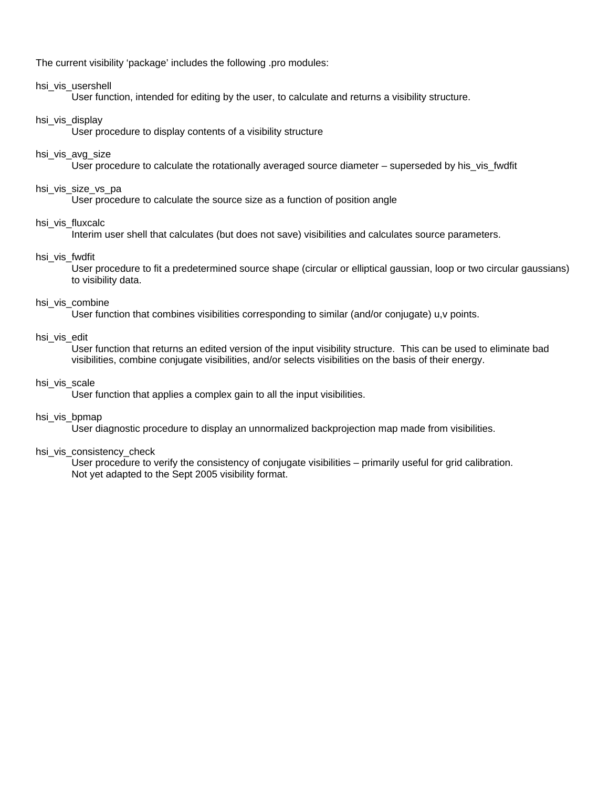The current visibility 'package' includes the following .pro modules:

#### hsi vis usershell

User function, intended for editing by the user, to calculate and returns a visibility structure.

#### hsi vis display

User procedure to display contents of a visibility structure

#### hsi vis avg size

User procedure to calculate the rotationally averaged source diameter – superseded by his vis fwdfit

#### hsi vis size vs pa

User procedure to calculate the source size as a function of position angle

#### hsi vis fluxcalc

Interim user shell that calculates (but does not save) visibilities and calculates source parameters.

#### hsi\_vis\_fwdfit

User procedure to fit a predetermined source shape (circular or elliptical gaussian, loop or two circular gaussians) to visibility data.

#### hsi vis combine

User function that combines visibilities corresponding to similar (and/or conjugate) u,v points.

#### hsi\_vis\_edit

User function that returns an edited version of the input visibility structure. This can be used to eliminate bad visibilities, combine conjugate visibilities, and/or selects visibilities on the basis of their energy.

#### hsi vis scale

User function that applies a complex gain to all the input visibilities.

#### hsi\_vis\_bpmap

User diagnostic procedure to display an unnormalized backprojection map made from visibilities.

#### hsi vis consistency check

 User procedure to verify the consistency of conjugate visibilities – primarily useful for grid calibration. Not yet adapted to the Sept 2005 visibility format.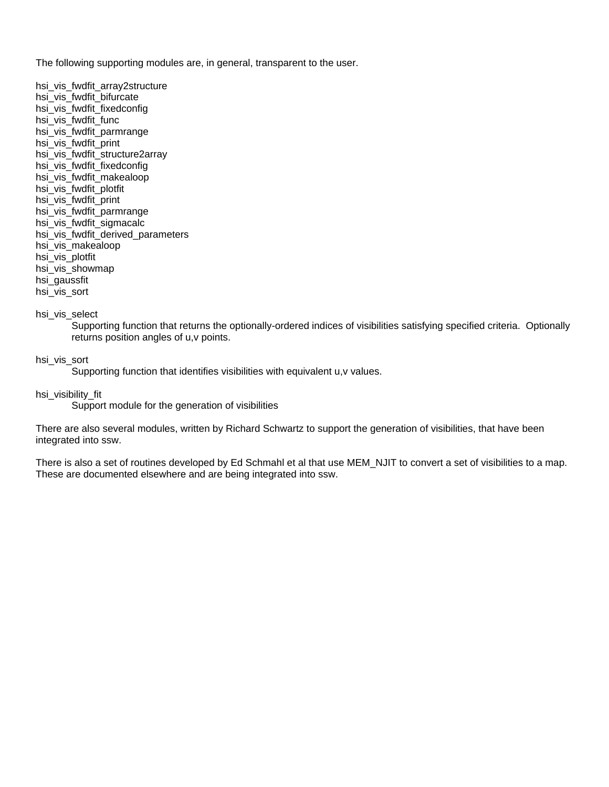The following supporting modules are, in general, transparent to the user.

hsi vis fwdfit array2structure hsi vis fwdfit bifurcate hsi\_vis\_fwdfit\_fixedconfig hsi vis fwdfit func hsi\_vis\_fwdfit\_parmrange hsi\_vis\_fwdfit\_print hsi\_vis\_fwdfit\_structure2array hsi vis fwdfit fixedconfig hsi\_vis\_fwdfit\_makealoop hsi\_vis\_fwdfit\_plotfit hsi\_vis\_fwdfit\_print hsi\_vis\_fwdfit\_parmrange hsi vis fwdfit sigmacalc hsi\_vis\_fwdfit\_derived\_parameters hsi\_vis\_makealoop hsi\_vis\_plotfit hsi vis showmap hsi\_gaussfit hsi\_vis\_sort

hsi vis select

Supporting function that returns the optionally-ordered indices of visibilities satisfying specified criteria. Optionally returns position angles of u,v points.

hsi\_vis\_sort

Supporting function that identifies visibilities with equivalent u,v values.

hsi visibility fit

Support module for the generation of visibilities

There are also several modules, written by Richard Schwartz to support the generation of visibilities, that have been integrated into ssw.

There is also a set of routines developed by Ed Schmahl et al that use MEM\_NJIT to convert a set of visibilities to a map. These are documented elsewhere and are being integrated into ssw.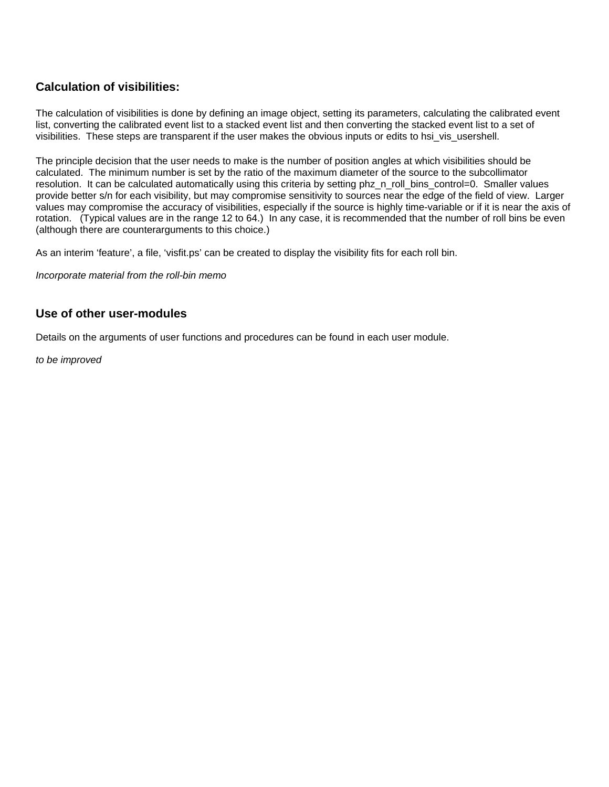# **Calculation of visibilities:**

The calculation of visibilities is done by defining an image object, setting its parameters, calculating the calibrated event list, converting the calibrated event list to a stacked event list and then converting the stacked event list to a set of visibilities. These steps are transparent if the user makes the obvious inputs or edits to hsi\_vis\_usershell.

The principle decision that the user needs to make is the number of position angles at which visibilities should be calculated. The minimum number is set by the ratio of the maximum diameter of the source to the subcollimator resolution. It can be calculated automatically using this criteria by setting phz\_n\_roll\_bins\_control=0. Smaller values provide better s/n for each visibility, but may compromise sensitivity to sources near the edge of the field of view. Larger values may compromise the accuracy of visibilities, especially if the source is highly time-variable or if it is near the axis of rotation. (Typical values are in the range 12 to 64.) In any case, it is recommended that the number of roll bins be even (although there are counterarguments to this choice.)

As an interim 'feature', a file, 'visfit.ps' can be created to display the visibility fits for each roll bin.

*Incorporate material from the roll-bin memo*

### **Use of other user-modules**

Details on the arguments of user functions and procedures can be found in each user module.

*to be improved*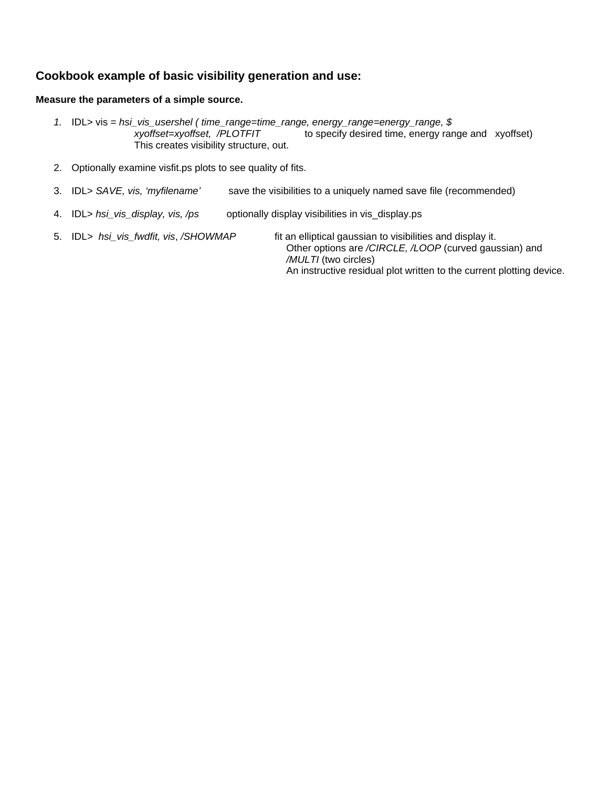# **Cookbook example of basic visibility generation and use:**

#### **Measure the parameters of a simple source.**

- *1.* IDL> vis = *hsi\_vis\_usershel ( time\_range=time\_range, energy\_range=energy\_range, \$ to specify desired time, energy range and xyoffset)* This creates visibility structure, out.
- 2. Optionally examine visfit.ps plots to see quality of fits.
- 3. IDL> *SAVE, vis, 'myfilename'* save the visibilities to a uniquely named save file (recommended)
- 4. IDL> *hsi\_vis\_display, vis, /ps* optionally display visibilities in vis\_display.ps
- 5. IDL*> hsi\_vis\_fwdfit, vis*, */SHOWMAP* fit an elliptical gaussian to visibilities and display it. Other options are */CIRCLE, /LOOP* (curved gaussian) and */MULTI* (two circles) An instructive residual plot written to the current plotting device.